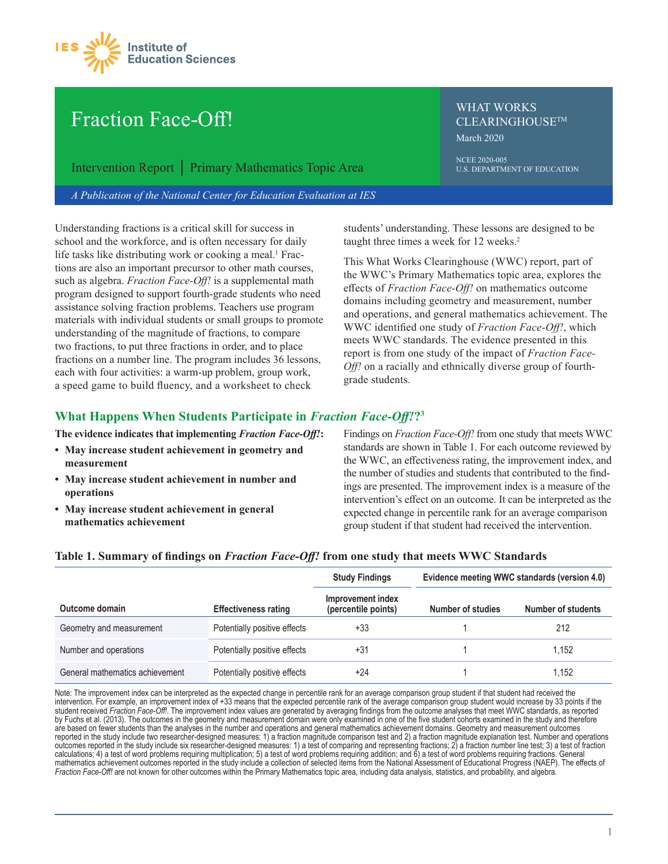

# Fraction Face-Off!

Intervention Report │ Primary Mathematics Topic Area

*A Publication of the National Center for Education Evaluation at IES*

Understanding fractions is a critical skill for success in school and the workforce, and is often necessary for daily life tasks like distributing work or cooking a meal.<sup>1</sup> Fractions are also an important precursor to other math courses, such as algebra. *Fraction Face-Off!* is a supplemental math program designed to support fourth-grade students who need assistance solving fraction problems. Teachers use program materials with individual students or small groups to promote understanding of the magnitude of fractions, to compare two fractions, to put three fractions in order, and to place fractions on a number line. The program includes 36 lessons, each with four activities: a warm-up problem, group work, a speed game to build fluency, and a worksheet to check

WHAT WORKS CLEARINGHOUSETM March 2020

NCEE 2020-005 U.S. DEPARTMENT OF EDUCATION

students' understanding. These lessons are designed to be taught three times a week for 12 weeks.<sup>2</sup>

This What Works Clearinghouse (WWC) report, part of the WWC's Primary Mathematics topic area, explores the effects of *Fraction Face-Off!* on mathematics outcome domains including geometry and measurement, number and operations, and general mathematics achievement. The WWC identified one study of *Fraction Face-Off!*, which meets WWC standards. The evidence presented in this report is from one study of the impact of *Fraction Face-Off!* on a racially and ethnically diverse group of fourthgrade students.

## **What Happens When Students Participate in** *Fraction Face-Off!***?3**

**The evidence indicates that implementing** *Fraction Face-Off!***:**

- **May increase student achievement in geometry and measurement**
- **May increase student achievement in number and operations**
- **May increase student achievement in general mathematics achievement**

Findings on *Fraction Face-Off!* from one study that meets WWC standards are shown in Table 1. For each outcome reviewed by the WWC, an effectiveness rating, the improvement index, and the number of studies and students that contributed to the findings are presented. The improvement index is a measure of the intervention's effect on an outcome. It can be interpreted as the expected change in percentile rank for an average comparison group student if that student had received the intervention.

|                                 |                              | <b>Study Findings</b>                    | Evidence meeting WWC standards (version 4.0) |                    |  |
|---------------------------------|------------------------------|------------------------------------------|----------------------------------------------|--------------------|--|
| Outcome domain                  | <b>Effectiveness rating</b>  | Improvement index<br>(percentile points) | <b>Number of studies</b>                     | Number of students |  |
| Geometry and measurement        | Potentially positive effects | +33                                      |                                              | 212                |  |
| Number and operations           | Potentially positive effects | +31                                      |                                              | 1.152              |  |
| General mathematics achievement | Potentially positive effects | +24                                      |                                              | 1,152              |  |

#### **Table 1. Summary of findings on** *Fraction Face-Off!* **from one study that meets WWC Standards**

Note: The improvement index can be interpreted as the expected change in percentile rank for an average comparison group student if that student had received the intervention. For example, an improvement index of +33 means that the expected percentile rank of the average comparison group student would increase by 33 points if the student received *Fraction Face-Off!*. The improvement index values are generated by averaging findings from the outcome analyses that meet WWC standards, as reported by Fuchs et al. (2013). The outcomes in the geometry and measurement domain were only examined in one of the five student cohorts examined in the study and therefore are based on fewer students than the analyses in the number and operations and general mathematics achievement domains. Geometry and measurement outcomes reported in the study include two researcher-designed measures: 1) a fraction magnitude comparison test and 2) a fraction magnitude explanation test. Number and operations outcomes reported in the study include six researcher-designed measures: 1) a test of comparing and representing fractions; 2) a fraction number line test; 3) a test of fraction calculations; 4) a test of word problems requiring multiplication; 5) a test of word problems requiring addition; and 6) a test of word problems requiring fractions. General mathematics achievement outcomes reported in the study include a collection of selected items from the National Assessment of Educational Progress (NAEP). The effects of *Fraction Face-Off!* are not known for other outcomes within the Primary Mathematics topic area, including data analysis, statistics, and probability, and algebra.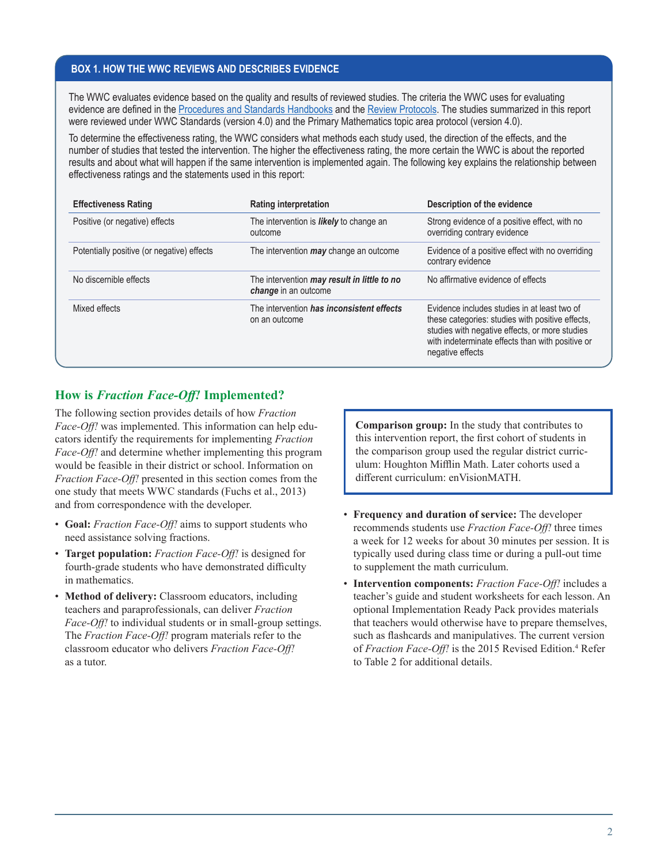#### **BOX 1. HOW THE WWC REVIEWS AND DESCRIBES EVIDENCE**

The WWC evaluates evidence based on the quality and results of reviewed studies. The criteria the WWC uses for evaluating evidence are defined in the [Procedures and Standards Handbooks](https://ies.ed.gov/ncee/wwc/Handbooks#procedures) and the [Review Protocols](https://ies.ed.gov/ncee/wwc/Handbooks#protocol). The studies summarized in this report were reviewed under WWC Standards (version 4.0) and the Primary Mathematics topic area protocol (version 4.0).

To determine the effectiveness rating, the WWC considers what methods each study used, the direction of the effects, and the number of studies that tested the intervention. The higher the effectiveness rating, the more certain the WWC is about the reported results and about what will happen if the same intervention is implemented again. The following key explains the relationship between effectiveness ratings and the statements used in this report:

| <b>Effectiveness Rating</b>                | <b>Rating interpretation</b>                                               | Description of the evidence                                                                                                                                                                                                |
|--------------------------------------------|----------------------------------------------------------------------------|----------------------------------------------------------------------------------------------------------------------------------------------------------------------------------------------------------------------------|
| Positive (or negative) effects             | The intervention is <b>likely</b> to change an<br>outcome                  | Strong evidence of a positive effect, with no<br>overriding contrary evidence                                                                                                                                              |
| Potentially positive (or negative) effects | The intervention <i>may</i> change an outcome                              | Evidence of a positive effect with no overriding<br>contrary evidence                                                                                                                                                      |
| No discernible effects                     | The intervention <i>may result in little to no</i><br>change in an outcome | No affirmative evidence of effects                                                                                                                                                                                         |
| Mixed effects                              | The intervention has inconsistent effects<br>on an outcome                 | Evidence includes studies in at least two of<br>these categories: studies with positive effects,<br>studies with negative effects, or more studies<br>with indeterminate effects than with positive or<br>negative effects |

# **How is** *Fraction Face-Off!* **Implemented?**

The following section provides details of how *Fraction Face-Off!* was implemented. This information can help educators identify the requirements for implementing *Fraction Face-Off!* and determine whether implementing this program would be feasible in their district or school. Information on *Fraction Face-Off!* presented in this section comes from the one study that meets WWC standards (Fuchs et al., 2013) and from correspondence with the developer.

- **Goal:** *Fraction Face-Off!* aims to support students who need assistance solving fractions.
- **Target population:** *Fraction Face-Off!* is designed for fourth-grade students who have demonstrated difficulty in mathematics.
- **Method of delivery:** Classroom educators, including teachers and paraprofessionals, can deliver *Fraction Face-Off!* to individual students or in small-group settings. The *Fraction Face-Off!* program materials refer to the classroom educator who delivers *Fraction Face-Off!* as a tutor.

**Comparison group:** In the study that contributes to this intervention report, the first cohort of students in the comparison group used the regular district curriculum: Houghton Mifflin Math. Later cohorts used a different curriculum: enVisionMATH.

- **Frequency and duration of service:** The developer recommends students use *Fraction Face-Off!* three times a week for 12 weeks for about 30 minutes per session. It is typically used during class time or during a pull-out time to supplement the math curriculum.
- **Intervention components:** *Fraction Face-Off!* includes a teacher's guide and student worksheets for each lesson. An optional Implementation Ready Pack provides materials that teachers would otherwise have to prepare themselves, such as flashcards and manipulatives. The current version of *Fraction Face-Off!* is the 2015 Revised Edition.<sup>4</sup> Refer to Table 2 for additional details.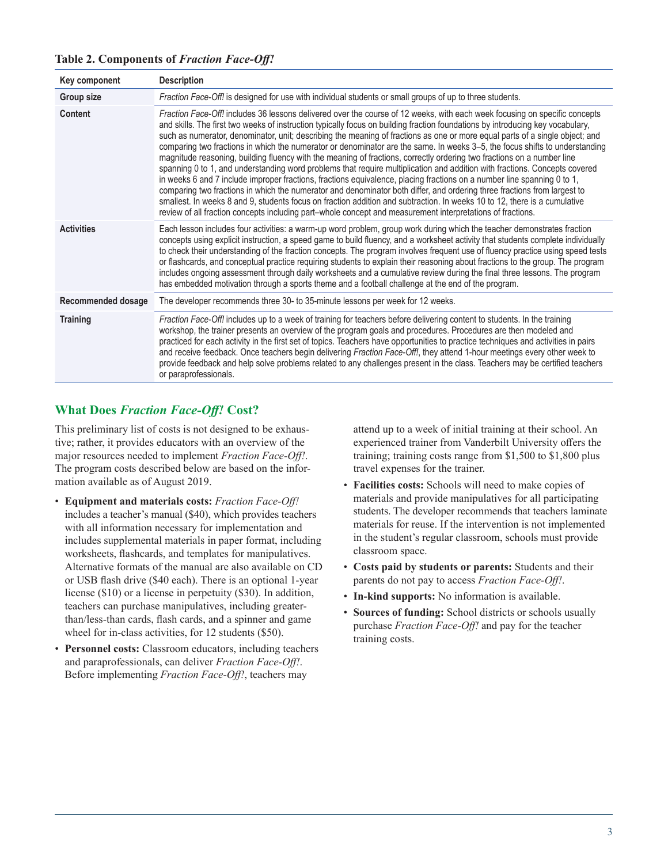| Key component      | <b>Description</b>                                                                                                                                                                                                                                                                                                                                                                                                                                                                                                                                                                                                                                                                                                                                                                                                                                                                                                                                                                                                                                                                                                                                                                                                                                                                    |
|--------------------|---------------------------------------------------------------------------------------------------------------------------------------------------------------------------------------------------------------------------------------------------------------------------------------------------------------------------------------------------------------------------------------------------------------------------------------------------------------------------------------------------------------------------------------------------------------------------------------------------------------------------------------------------------------------------------------------------------------------------------------------------------------------------------------------------------------------------------------------------------------------------------------------------------------------------------------------------------------------------------------------------------------------------------------------------------------------------------------------------------------------------------------------------------------------------------------------------------------------------------------------------------------------------------------|
| Group size         | Fraction Face-Off! is designed for use with individual students or small groups of up to three students.                                                                                                                                                                                                                                                                                                                                                                                                                                                                                                                                                                                                                                                                                                                                                                                                                                                                                                                                                                                                                                                                                                                                                                              |
| Content            | Fraction Face-Off! includes 36 lessons delivered over the course of 12 weeks, with each week focusing on specific concepts<br>and skills. The first two weeks of instruction typically focus on building fraction foundations by introducing key vocabulary,<br>such as numerator, denominator, unit; describing the meaning of fractions as one or more equal parts of a single object; and<br>comparing two fractions in which the numerator or denominator are the same. In weeks 3-5, the focus shifts to understanding<br>magnitude reasoning, building fluency with the meaning of fractions, correctly ordering two fractions on a number line<br>spanning 0 to 1, and understanding word problems that require multiplication and addition with fractions. Concepts covered<br>in weeks 6 and 7 include improper fractions, fractions equivalence, placing fractions on a number line spanning 0 to 1,<br>comparing two fractions in which the numerator and denominator both differ, and ordering three fractions from largest to<br>smallest. In weeks 8 and 9, students focus on fraction addition and subtraction. In weeks 10 to 12, there is a cumulative<br>review of all fraction concepts including part-whole concept and measurement interpretations of fractions. |
| <b>Activities</b>  | Each lesson includes four activities: a warm-up word problem, group work during which the teacher demonstrates fraction<br>concepts using explicit instruction, a speed game to build fluency, and a worksheet activity that students complete individually<br>to check their understanding of the fraction concepts. The program involves frequent use of fluency practice using speed tests<br>or flashcards, and conceptual practice requiring students to explain their reasoning about fractions to the group. The program<br>includes ongoing assessment through daily worksheets and a cumulative review during the final three lessons. The program<br>has embedded motivation through a sports theme and a football challenge at the end of the program.                                                                                                                                                                                                                                                                                                                                                                                                                                                                                                                     |
| Recommended dosage | The developer recommends three 30- to 35-minute lessons per week for 12 weeks.                                                                                                                                                                                                                                                                                                                                                                                                                                                                                                                                                                                                                                                                                                                                                                                                                                                                                                                                                                                                                                                                                                                                                                                                        |
| <b>Training</b>    | Fraction Face-Off! includes up to a week of training for teachers before delivering content to students. In the training<br>workshop, the trainer presents an overview of the program goals and procedures. Procedures are then modeled and<br>practiced for each activity in the first set of topics. Teachers have opportunities to practice techniques and activities in pairs<br>and receive feedback. Once teachers begin delivering Fraction Face-Off!, they attend 1-hour meetings every other week to<br>provide feedback and help solve problems related to any challenges present in the class. Teachers may be certified teachers<br>or paraprofessionals.                                                                                                                                                                                                                                                                                                                                                                                                                                                                                                                                                                                                                 |

**Table 2. Components of** *Fraction Face-Off!*

# **What Does** *Fraction Face-Off!* **Cost?**

This preliminary list of costs is not designed to be exhaustive; rather, it provides educators with an overview of the major resources needed to implement *Fraction Face-Off!*. The program costs described below are based on the information available as of August 2019.

- **Equipment and materials costs:** *Fraction Face-Off!* includes a teacher's manual (\$40), which provides teachers with all information necessary for implementation and includes supplemental materials in paper format, including worksheets, flashcards, and templates for manipulatives. Alternative formats of the manual are also available on CD or USB flash drive (\$40 each). There is an optional 1-year license (\$10) or a license in perpetuity (\$30). In addition, teachers can purchase manipulatives, including greaterthan/less-than cards, flash cards, and a spinner and game wheel for in-class activities, for 12 students (\$50).
- **Personnel costs:** Classroom educators, including teachers and paraprofessionals, can deliver *Fraction Face-Off!*. Before implementing *Fraction Face-Off!*, teachers may

attend up to a week of initial training at their school. An experienced trainer from Vanderbilt University offers the training; training costs range from \$1,500 to \$1,800 plus travel expenses for the trainer.

- **Facilities costs:** Schools will need to make copies of materials and provide manipulatives for all participating students. The developer recommends that teachers laminate materials for reuse. If the intervention is not implemented in the student's regular classroom, schools must provide classroom space.
- **Costs paid by students or parents:** Students and their parents do not pay to access *Fraction Face-Off!*.
- **In-kind supports:** No information is available.
- **Sources of funding:** School districts or schools usually purchase *Fraction Face-Off!* and pay for the teacher training costs.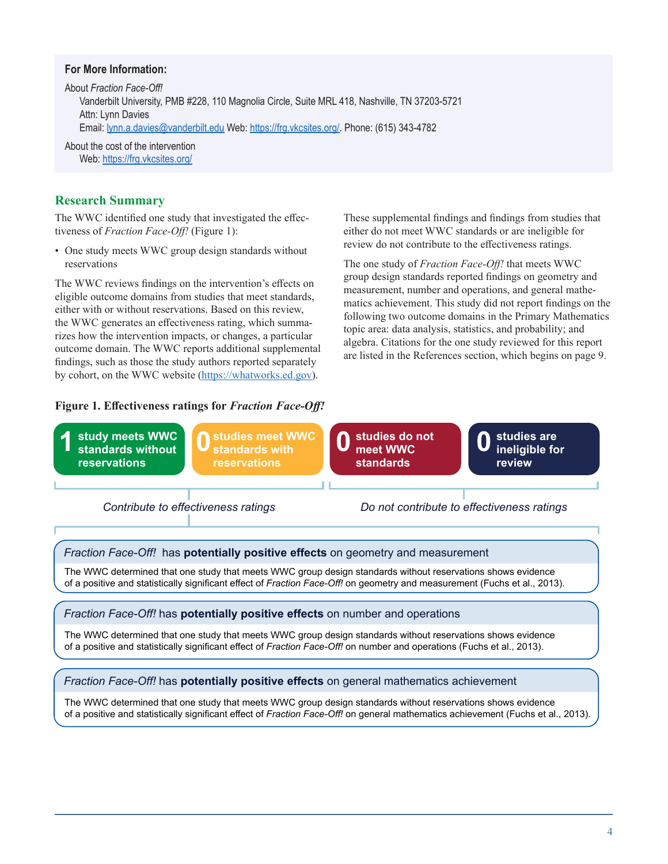## **For More Information:**

About *Fraction Face-Off!* Vanderbilt University, PMB #228, 110 Magnolia Circle, Suite MRL 418, Nashville, TN 37203-5721 Attn: Lynn Davies Email: [lynn.a.davies@vanderbilt.edu](mailto:lynn.a.davies@vanderbilt.edu) Web: <https://frg.vkcsites.org/>. Phone: (615) 343-4782

About the cost of the intervention Web: <https://frg.vkcsites.org/>

## **Research Summary**

The WWC identified one study that investigated the effectiveness of *Fraction Face-Off!* (Figure 1):

• One study meets WWC group design standards without reservations

The WWC reviews findings on the intervention's effects on eligible outcome domains from studies that meet standards, either with or without reservations. Based on this review, the WWC generates an effectiveness rating, which summarizes how the intervention impacts, or changes, a particular outcome domain. The WWC reports additional supplemental findings, such as those the study authors reported separately by cohort, on the WWC website (<https://whatworks.ed.gov>).

#### **Figure 1. Effectiveness ratings for** *Fraction Face-Off!*

These supplemental findings and findings from studies that either do not meet WWC standards or are ineligible for review do not contribute to the effectiveness ratings.

The one study of *Fraction Face-Off!* that meets WWC group design standards reported findings on geometry and measurement, number and operations, and general mathematics achievement. This study did not report findings on the following two outcome domains in the Primary Mathematics topic area: data analysis, statistics, and probability; and algebra. Citations for the one study reviewed for this report are listed in the References section, which begins on page 9.



## Fraction Face-Off! has potentially positive effects on number and operations

The WWC determined that one study that meets WWC group design standards without reservations shows evidence of a positive and statistically significant effect of Fraction Face-Off! on number and operations (Fuchs et al., 2013).

#### Fraction Face-Off! has potentially positive effects on general mathematics achievement

The WWC determined that one study that meets WWC group design standards without reservations shows evidence of a positive and statistically significant effect of Fraction Face-Off! on general mathematics achievement (Fuchs et al., 2013).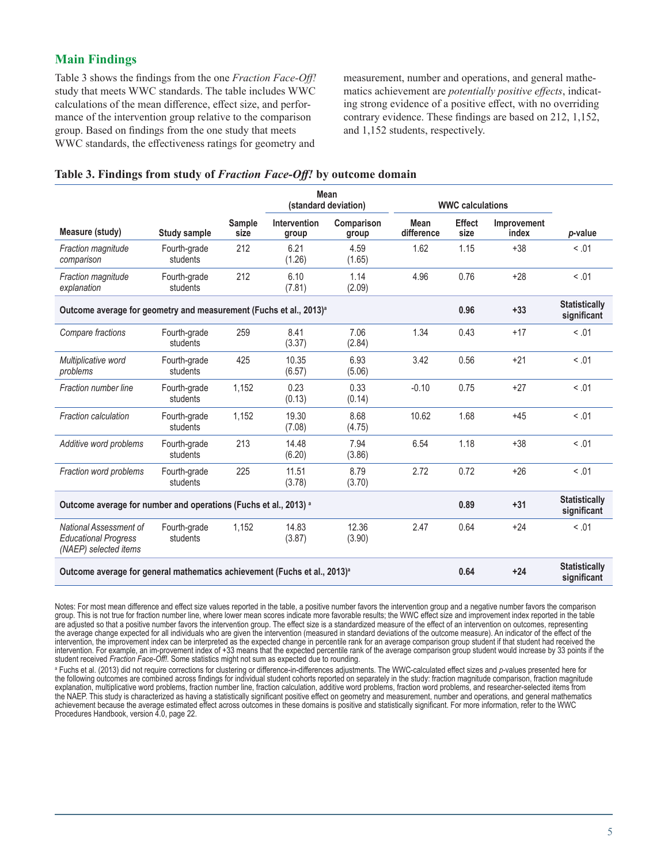# **Main Findings**

Table 3 shows the findings from the one *Fraction Face-Off!* study that meets WWC standards. The table includes WWC calculations of the mean difference, effect size, and performance of the intervention group relative to the comparison group. Based on findings from the one study that meets WWC standards, the effectiveness ratings for geometry and

measurement, number and operations, and general mathematics achievement are *potentially positive effects*, indicating strong evidence of a positive effect, with no overriding contrary evidence. These findings are based on 212, 1,152, and 1,152 students, respectively.

#### **Table 3. Findings from study of** *Fraction Face-Off!* **by outcome domain**

|                                                                                       |                          |                | <b>Mean</b><br>(standard deviation) |                     | <b>WWC calculations</b>             |                       |                      |                                     |
|---------------------------------------------------------------------------------------|--------------------------|----------------|-------------------------------------|---------------------|-------------------------------------|-----------------------|----------------------|-------------------------------------|
| Measure (study)                                                                       | <b>Study sample</b>      | Sample<br>size | Intervention<br>group               | Comparison<br>group | <b>Mean</b><br>difference           | <b>Effect</b><br>size | Improvement<br>index | p-value                             |
| Fraction magnitude<br>comparison                                                      | Fourth-grade<br>students | 212            | 6.21<br>(1.26)                      | 4.59<br>(1.65)      | 1.62                                | 1.15                  | $+38$                | < 0.01                              |
| Fraction magnitude<br>explanation                                                     | Fourth-grade<br>students | 212            | 6.10<br>(7.81)                      | 1.14<br>(2.09)      | 4.96                                | 0.76                  | $+28$                | < 0.01                              |
| Outcome average for geometry and measurement (Fuchs et al., 2013) <sup>a</sup>        |                          |                |                                     |                     |                                     | 0.96                  | $+33$                | <b>Statistically</b><br>significant |
| Compare fractions                                                                     | Fourth-grade<br>students | 259            | 8.41<br>(3.37)                      | 7.06<br>(2.84)      | 1.34                                | 0.43                  | $+17$                | < 0.01                              |
| Multiplicative word<br>problems                                                       | Fourth-grade<br>students | 425            | 10.35<br>(6.57)                     | 6.93<br>(5.06)      | 3.42                                | 0.56                  | $+21$                | < 0.01                              |
| Fraction number line                                                                  | Fourth-grade<br>students | 1,152          | 0.23<br>(0.13)                      | 0.33<br>(0.14)      | $-0.10$                             | 0.75                  | $+27$                | < 0.01                              |
| <b>Fraction calculation</b>                                                           | Fourth-grade<br>students | 1,152          | 19.30<br>(7.08)                     | 8.68<br>(4.75)      | 10.62                               | 1.68                  | $+45$                | < 0.01                              |
| Additive word problems                                                                | Fourth-grade<br>students | 213            | 14.48<br>(6.20)                     | 7.94<br>(3.86)      | 6.54                                | 1.18                  | $+38$                | < 0.01                              |
| Fraction word problems                                                                | Fourth-grade<br>students | 225            | 11.51<br>(3.78)                     | 8.79<br>(3.70)      | 2.72                                | 0.72                  | $+26$                | < 0.01                              |
| Outcome average for number and operations (Fuchs et al., 2013) a                      |                          |                |                                     |                     |                                     | 0.89                  | $+31$                | <b>Statistically</b><br>significant |
| National Assessment of<br><b>Educational Progress</b><br>(NAEP) selected items        | Fourth-grade<br>students | 1.152          | 14.83<br>(3.87)                     | 12.36<br>(3.90)     | 2.47                                | 0.64                  | $+24$                | < 0.01                              |
| Outcome average for general mathematics achievement (Fuchs et al., 2013) <sup>a</sup> |                          |                | 0.64                                | $+24$               | <b>Statistically</b><br>significant |                       |                      |                                     |

Notes: For most mean difference and effect size values reported in the table, a positive number favors the intervention group and a negative number favors the comparison group. This is not true for fraction number line, where lower mean scores indicate more favorable results; the WWC effect size and improvement index reported in the table are adjusted so that a positive number favors the intervention group. The effect size is a standardized measure of the effect of an intervention on outcomes, representing the average change expected for all individuals who are given the intervention (measured in standard deviations of the outcome measure). An indicator of the effect of the intervention, the improvement index can be interpreted as the expected change in percentile rank for an average comparison group student if that student had received the intervention. For example, an im-provement index of +33 means that the expected percentile rank of the average comparison group student would increase by 33 points if the student received *Fraction Face-Off!*. Some statistics might not sum as expected due to rounding.

<sup>a</sup> Fuchs et al. (2013) did not require corrections for clustering or difference-in-differences adjustments. The WWC-calculated effect sizes and *p*-values presented here for the following outcomes are combined across findings for individual student cohorts reported on separately in the study: fraction magnitude comparison, fraction magnitude explanation, multiplicative word problems, fraction number line, fraction calculation, additive word problems, fraction word problems, and researcher-selected items from the NAEP. This study is characterized as having a statistically significant positive effect on geometry and measurement, number and operations, and general mathematics achievement because the average estimated effect across outcomes in these domains is positive and statistically significant. For more information, refer to the WWC Procedures Handbook, version 4.0, page 22.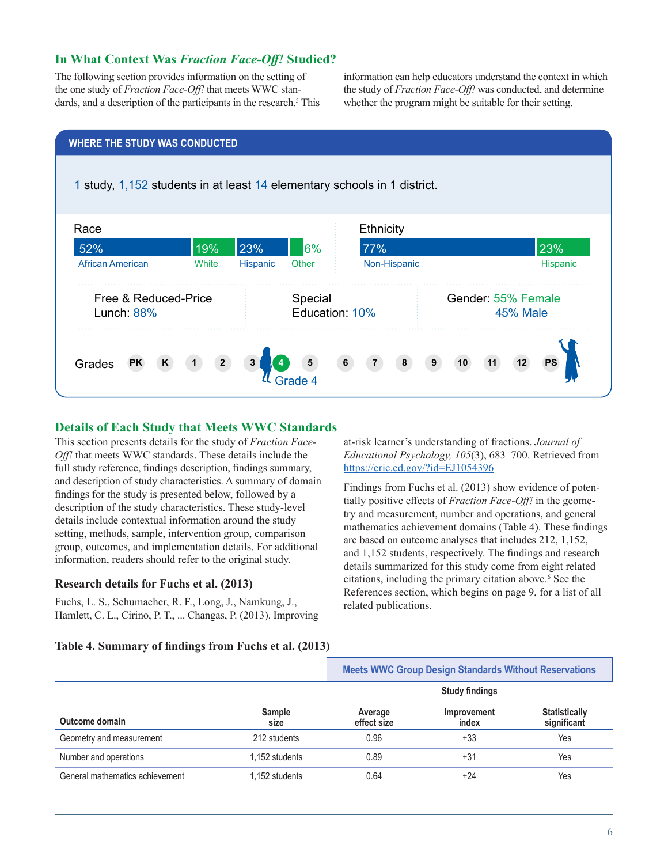# **In What Context Was** *Fraction Face-Off!* **Studied?**

The following section provides information on the setting of the one study of *Fraction Face-Off!* that meets WWC standards, and a description of the participants in the research.<sup>5</sup> This information can help educators understand the context in which the study of *Fraction Face-Off!* was conducted, and determine whether the program might be suitable for their setting.



## **Details of Each Study that Meets WWC Standards**

This section presents details for the study of *Fraction Face-Off!* that meets WWC standards. These details include the full study reference, findings description, findings summary, and description of study characteristics. A summary of domain findings for the study is presented below, followed by a description of the study characteristics. These study-level details include contextual information around the study setting, methods, sample, intervention group, comparison group, outcomes, and implementation details. For additional information, readers should refer to the original study.

#### **Research details for Fuchs et al. (2013)**

Fuchs, L. S., Schumacher, R. F., Long, J., Namkung, J., Hamlett, C. L., Cirino, P. T., ... Changas, P. (2013). Improving at-risk learner's understanding of fractions. *Journal of Educational Psychology, 105*(3), 683–700. Retrieved from <https://eric.ed.gov/?id=EJ1054396>

Findings from Fuchs et al. (2013) show evidence of potentially positive effects of *Fraction Face-Off!* in the geometry and measurement, number and operations, and general mathematics achievement domains (Table 4). These findings are based on outcome analyses that includes 212, 1,152, and 1,152 students, respectively. The findings and research details summarized for this study come from eight related citations, including the primary citation above.<sup>6</sup> See the References section, which begins on page 9, for a list of all related publications.

#### **Table 4. Summary of findings from Fuchs et al. (2013)**

|                                 |                       | <b>Meets WWC Group Design Standards Without Reservations</b> |                      |                                     |
|---------------------------------|-----------------------|--------------------------------------------------------------|----------------------|-------------------------------------|
|                                 |                       | <b>Study findings</b>                                        |                      |                                     |
| Outcome domain                  | <b>Sample</b><br>size | Average<br>effect size                                       | Improvement<br>index | <b>Statistically</b><br>significant |
| Geometry and measurement        | 212 students          | 0.96                                                         | $+33$                | Yes                                 |
| Number and operations           | 1.152 students        | 0.89                                                         | $+31$                | Yes                                 |
| General mathematics achievement | 1.152 students        | 0.64                                                         | $+24$                | Yes                                 |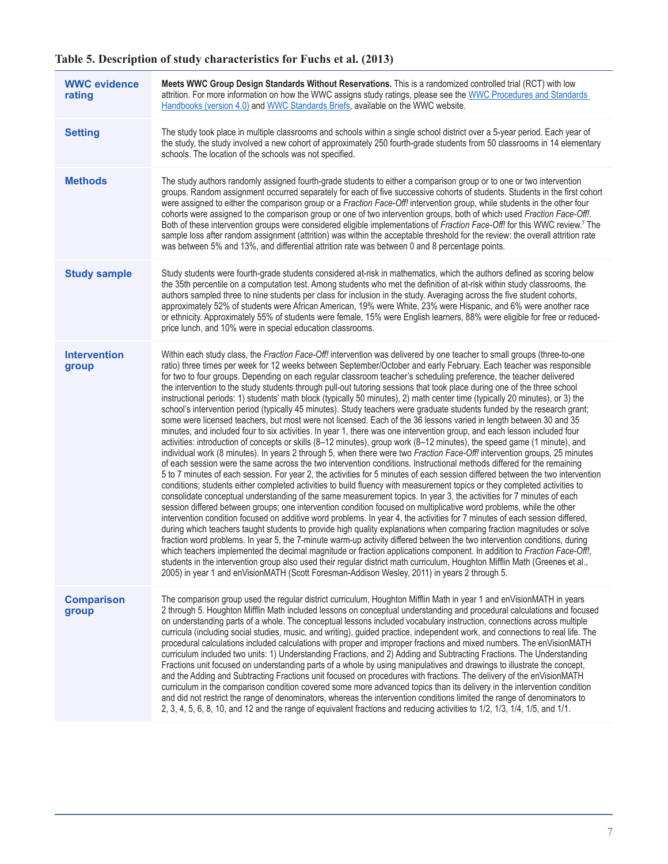# **Table 5. Description of study characteristics for Fuchs et al. (2013)**

| <b>WWC evidence</b><br>rating | Meets WWC Group Design Standards Without Reservations. This is a randomized controlled trial (RCT) with low<br>attrition. For more information on how the WWC assigns study ratings, please see the WWC Procedures and Standards<br>Handbooks (version 4.0) and WWC Standards Briefs, available on the WWC website.                                                                                                                                                                                                                                                                                                                                                                                                                                                                                                                                                                                                                                                                                                                                                                                                                                                                                                                                                                                                                                                                                                                                                                                                                                                                                                                                                                                                                                                                                                                                                                                                                                                                                                                                                                                                                                                                                                                                                                                                                                                                                                                                                                                                                                                                                                                                              |
|-------------------------------|------------------------------------------------------------------------------------------------------------------------------------------------------------------------------------------------------------------------------------------------------------------------------------------------------------------------------------------------------------------------------------------------------------------------------------------------------------------------------------------------------------------------------------------------------------------------------------------------------------------------------------------------------------------------------------------------------------------------------------------------------------------------------------------------------------------------------------------------------------------------------------------------------------------------------------------------------------------------------------------------------------------------------------------------------------------------------------------------------------------------------------------------------------------------------------------------------------------------------------------------------------------------------------------------------------------------------------------------------------------------------------------------------------------------------------------------------------------------------------------------------------------------------------------------------------------------------------------------------------------------------------------------------------------------------------------------------------------------------------------------------------------------------------------------------------------------------------------------------------------------------------------------------------------------------------------------------------------------------------------------------------------------------------------------------------------------------------------------------------------------------------------------------------------------------------------------------------------------------------------------------------------------------------------------------------------------------------------------------------------------------------------------------------------------------------------------------------------------------------------------------------------------------------------------------------------------------------------------------------------------------------------------------------------|
| <b>Setting</b>                | The study took place in multiple classrooms and schools within a single school district over a 5-year period. Each year of<br>the study, the study involved a new cohort of approximately 250 fourth-grade students from 50 classrooms in 14 elementary<br>schools. The location of the schools was not specified.                                                                                                                                                                                                                                                                                                                                                                                                                                                                                                                                                                                                                                                                                                                                                                                                                                                                                                                                                                                                                                                                                                                                                                                                                                                                                                                                                                                                                                                                                                                                                                                                                                                                                                                                                                                                                                                                                                                                                                                                                                                                                                                                                                                                                                                                                                                                               |
| <b>Methods</b>                | The study authors randomly assigned fourth-grade students to either a comparison group or to one or two intervention<br>groups. Random assignment occurred separately for each of five successive cohorts of students. Students in the first cohort<br>were assigned to either the comparison group or a Fraction Face-Off! intervention group, while students in the other four<br>cohorts were assigned to the comparison group or one of two intervention groups, both of which used Fraction Face-Off!.<br>Both of these intervention groups were considered eligible implementations of Fraction Face-Off! for this WWC review. <sup>7</sup> The<br>sample loss after random assignment (attrition) was within the acceptable threshold for the review: the overall attrition rate<br>was between 5% and 13%, and differential attrition rate was between 0 and 8 percentage points.                                                                                                                                                                                                                                                                                                                                                                                                                                                                                                                                                                                                                                                                                                                                                                                                                                                                                                                                                                                                                                                                                                                                                                                                                                                                                                                                                                                                                                                                                                                                                                                                                                                                                                                                                                        |
| <b>Study sample</b>           | Study students were fourth-grade students considered at-risk in mathematics, which the authors defined as scoring below<br>the 35th percentile on a computation test. Among students who met the definition of at-risk within study classrooms, the<br>authors sampled three to nine students per class for inclusion in the study. Averaging across the five student cohorts,<br>approximately 52% of students were African American, 19% were White, 23% were Hispanic, and 6% were another race<br>or ethnicity. Approximately 55% of students were female, 15% were English learners, 88% were eligible for free or reduced-<br>price lunch, and 10% were in special education classrooms.                                                                                                                                                                                                                                                                                                                                                                                                                                                                                                                                                                                                                                                                                                                                                                                                                                                                                                                                                                                                                                                                                                                                                                                                                                                                                                                                                                                                                                                                                                                                                                                                                                                                                                                                                                                                                                                                                                                                                                   |
| <b>Intervention</b><br>group  | Within each study class, the Fraction Face-Off! intervention was delivered by one teacher to small groups (three-to-one<br>ratio) three times per week for 12 weeks between September/October and early February. Each teacher was responsible<br>for two to four groups. Depending on each regular classroom teacher's scheduling preference, the teacher delivered<br>the intervention to the study students through pull-out tutoring sessions that took place during one of the three school<br>instructional periods: 1) students' math block (typically 50 minutes), 2) math center time (typically 20 minutes), or 3) the<br>school's intervention period (typically 45 minutes). Study teachers were graduate students funded by the research grant;<br>some were licensed teachers, but most were not licensed. Each of the 36 lessons varied in length between 30 and 35<br>minutes, and included four to six activities. In year 1, there was one intervention group, and each lesson included four<br>activities: introduction of concepts or skills (8-12 minutes), group work (8-12 minutes), the speed game (1 minute), and<br>individual work (8 minutes). In years 2 through 5, when there were two Fraction Face-Off! intervention groups, 25 minutes<br>of each session were the same across the two intervention conditions. Instructional methods differed for the remaining<br>5 to 7 minutes of each session. For year 2, the activities for 5 minutes of each session differed between the two intervention<br>conditions; students either completed activities to build fluency with measurement topics or they completed activities to<br>consolidate conceptual understanding of the same measurement topics. In year 3, the activities for 7 minutes of each<br>session differed between groups; one intervention condition focused on multiplicative word problems, while the other<br>intervention condition focused on additive word problems. In year 4, the activities for 7 minutes of each session differed,<br>during which teachers taught students to provide high quality explanations when comparing fraction magnitudes or solve<br>fraction word problems. In year 5, the 7-minute warm-up activity differed between the two intervention conditions, during<br>which teachers implemented the decimal magnitude or fraction applications component. In addition to Fraction Face-Off!,<br>students in the intervention group also used their regular district math curriculum, Houghton Mifflin Math (Greenes et al.,<br>2005) in year 1 and enVisionMATH (Scott Foresman-Addison Wesley, 2011) in years 2 through 5. |
| <b>Comparison</b><br>group    | The comparison group used the regular district curriculum, Houghton Mifflin Math in year 1 and enVisionMATH in years<br>2 through 5. Houghton Mifflin Math included lessons on conceptual understanding and procedural calculations and focused<br>on understanding parts of a whole. The conceptual lessons included vocabulary instruction, connections across multiple<br>curricula (including social studies, music, and writing), guided practice, independent work, and connections to real life. The<br>procedural calculations included calculations with proper and improper fractions and mixed numbers. The enVisionMATH<br>curriculum included two units: 1) Understanding Fractions, and 2) Adding and Subtracting Fractions. The Understanding<br>Fractions unit focused on understanding parts of a whole by using manipulatives and drawings to illustrate the concept,<br>and the Adding and Subtracting Fractions unit focused on procedures with fractions. The delivery of the enVisionMATH<br>curriculum in the comparison condition covered some more advanced topics than its delivery in the intervention condition<br>and did not restrict the range of denominators, whereas the intervention conditions limited the range of denominators to<br>2, 3, 4, 5, 6, 8, 10, and 12 and the range of equivalent fractions and reducing activities to 1/2, 1/3, 1/4, 1/5, and 1/1.                                                                                                                                                                                                                                                                                                                                                                                                                                                                                                                                                                                                                                                                                                                                                                                                                                                                                                                                                                                                                                                                                                                                                                                                                                                            |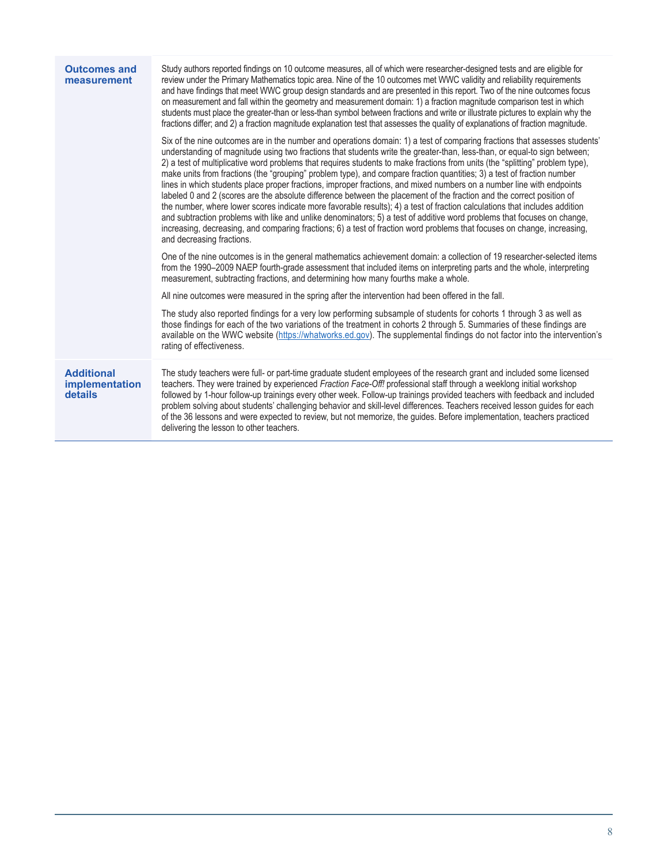| <b>Outcomes and</b><br>measurement                    | Study authors reported findings on 10 outcome measures, all of which were researcher-designed tests and are eligible for<br>review under the Primary Mathematics topic area. Nine of the 10 outcomes met WWC validity and reliability requirements<br>and have findings that meet WWC group design standards and are presented in this report. Two of the nine outcomes focus<br>on measurement and fall within the geometry and measurement domain: 1) a fraction magnitude comparison test in which<br>students must place the greater-than or less-than symbol between fractions and write or illustrate pictures to explain why the<br>fractions differ; and 2) a fraction magnitude explanation test that assesses the quality of explanations of fraction magnitude.<br>Six of the nine outcomes are in the number and operations domain: 1) a test of comparing fractions that assesses students'<br>understanding of magnitude using two fractions that students write the greater-than, less-than, or equal-to sign between;<br>2) a test of multiplicative word problems that requires students to make fractions from units (the "splitting" problem type),<br>make units from fractions (the "grouping" problem type), and compare fraction quantities; 3) a test of fraction number<br>lines in which students place proper fractions, improper fractions, and mixed numbers on a number line with endpoints<br>labeled 0 and 2 (scores are the absolute difference between the placement of the fraction and the correct position of<br>the number, where lower scores indicate more favorable results); 4) a test of fraction calculations that includes addition<br>and subtraction problems with like and unlike denominators; 5) a test of additive word problems that focuses on change,<br>increasing, decreasing, and comparing fractions; 6) a test of fraction word problems that focuses on change, increasing,<br>and decreasing fractions.<br>One of the nine outcomes is in the general mathematics achievement domain: a collection of 19 researcher-selected items<br>from the 1990-2009 NAEP fourth-grade assessment that included items on interpreting parts and the whole, interpreting<br>measurement, subtracting fractions, and determining how many fourths make a whole.<br>All nine outcomes were measured in the spring after the intervention had been offered in the fall.<br>The study also reported findings for a very low performing subsample of students for cohorts 1 through 3 as well as<br>those findings for each of the two variations of the treatment in cohorts 2 through 5. Summaries of these findings are<br>available on the WWC website (https://whatworks.ed.gov). The supplemental findings do not factor into the intervention's<br>rating of effectiveness. |
|-------------------------------------------------------|-------------------------------------------------------------------------------------------------------------------------------------------------------------------------------------------------------------------------------------------------------------------------------------------------------------------------------------------------------------------------------------------------------------------------------------------------------------------------------------------------------------------------------------------------------------------------------------------------------------------------------------------------------------------------------------------------------------------------------------------------------------------------------------------------------------------------------------------------------------------------------------------------------------------------------------------------------------------------------------------------------------------------------------------------------------------------------------------------------------------------------------------------------------------------------------------------------------------------------------------------------------------------------------------------------------------------------------------------------------------------------------------------------------------------------------------------------------------------------------------------------------------------------------------------------------------------------------------------------------------------------------------------------------------------------------------------------------------------------------------------------------------------------------------------------------------------------------------------------------------------------------------------------------------------------------------------------------------------------------------------------------------------------------------------------------------------------------------------------------------------------------------------------------------------------------------------------------------------------------------------------------------------------------------------------------------------------------------------------------------------------------------------------------------------------------------------------------------------------------------------------------------------------------------------------------------------------------------------------------------------------------------------------------------------------------------------------------------------------------------------------------------------------------------------------------------------------|
| <b>Additional</b><br><i>implementation</i><br>details | The study teachers were full- or part-time graduate student employees of the research grant and included some licensed<br>teachers. They were trained by experienced Fraction Face-Off! professional staff through a weeklong initial workshop<br>followed by 1-hour follow-up trainings every other week. Follow-up trainings provided teachers with feedback and included<br>problem solving about students' challenging behavior and skill-level differences. Teachers received lesson guides for each<br>of the 36 lessons and were expected to review, but not memorize, the guides. Before implementation, teachers practiced<br>delivering the lesson to other teachers.                                                                                                                                                                                                                                                                                                                                                                                                                                                                                                                                                                                                                                                                                                                                                                                                                                                                                                                                                                                                                                                                                                                                                                                                                                                                                                                                                                                                                                                                                                                                                                                                                                                                                                                                                                                                                                                                                                                                                                                                                                                                                                                                               |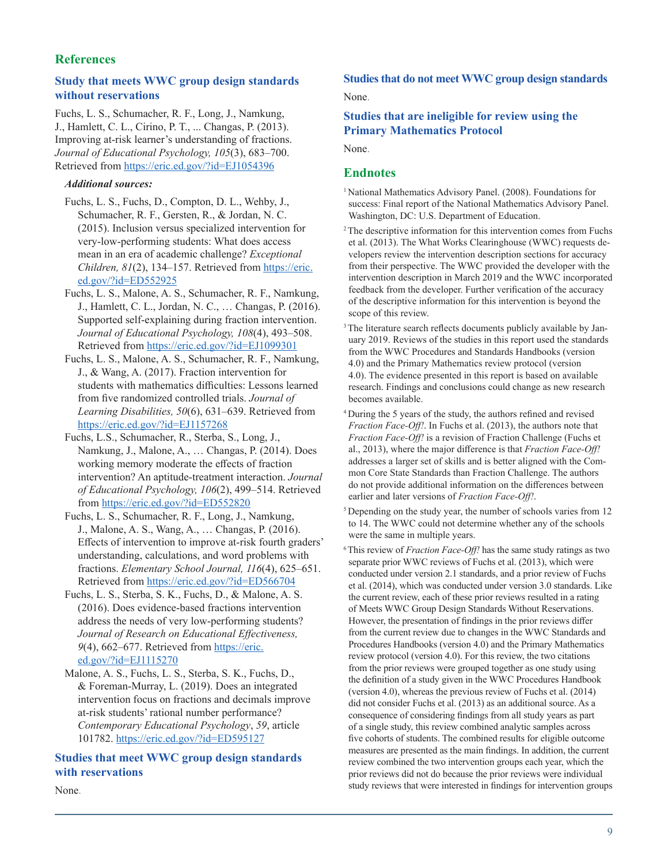## **References**

## **Study that meets WWC group design standards without reservations**

Fuchs, L. S., Schumacher, R. F., Long, J., Namkung, J., Hamlett, C. L., Cirino, P. T., ... Changas, P. (2013). Improving at-risk learner's understanding of fractions. *Journal of Educational Psychology, 105*(3), 683–700. Retrieved from <https://eric.ed.gov/?id=EJ1054396>

#### *Additional sources:*

- Fuchs, L. S., Fuchs, D., Compton, D. L., Wehby, J., Schumacher, R. F., Gersten, R., & Jordan, N. C. (2015). Inclusion versus specialized intervention for very-low-performing students: What does access mean in an era of academic challenge? *Exceptional Children, 81*(2), 134–157. Retrieved from [https://eric.](https://eric.ed.gov/?id=ED552925) [ed.gov/?id=ED552925](https://eric.ed.gov/?id=ED552925)
- Fuchs, L. S., Malone, A. S., Schumacher, R. F., Namkung, J., Hamlett, C. L., Jordan, N. C., … Changas, P. (2016). Supported self-explaining during fraction intervention. *Journal of Educational Psychology, 108*(4), 493–508. Retrieved from <https://eric.ed.gov/?id=EJ1099301>
- Fuchs, L. S., Malone, A. S., Schumacher, R. F., Namkung, J., & Wang, A. (2017). Fraction intervention for students with mathematics difficulties: Lessons learned from five randomized controlled trials. *Journal of Learning Disabilities, 50*(6), 631–639. Retrieved from <https://eric.ed.gov/?id=EJ1157268>
- Fuchs, L.S., Schumacher, R., Sterba, S., Long, J., Namkung, J., Malone, A., … Changas, P. (2014). Does working memory moderate the effects of fraction intervention? An aptitude-treatment interaction. *Journal of Educational Psychology, 106*(2), 499–514. Retrieved from<https://eric.ed.gov/?id=ED552820>
- Fuchs, L. S., Schumacher, R. F., Long, J., Namkung, J., Malone, A. S., Wang, A., … Changas, P. (2016). Effects of intervention to improve at-risk fourth graders' understanding, calculations, and word problems with fractions. *Elementary School Journal, 116*(4), 625–651. Retrieved from <https://eric.ed.gov/?id=ED566704>
- Fuchs, L. S., Sterba, S. K., Fuchs, D., & Malone, A. S. (2016). Does evidence-based fractions intervention address the needs of very low-performing students? *Journal of Research on Educational Effectiveness, 9*(4), 662–677. Retrieved from [https://eric.](https://eric.ed.gov/?id=EJ1115270) [ed.gov/?id=EJ1115270](https://eric.ed.gov/?id=EJ1115270)
- Malone, A. S., Fuchs, L. S., Sterba, S. K., Fuchs, D., & Foreman-Murray, L. (2019). Does an integrated intervention focus on fractions and decimals improve at-risk students' rational number performance? *Contemporary Educational Psychology*, *59*, article 101782.<https://eric.ed.gov/?id=ED595127>

## **Studies that meet WWC group design standards with reservations**

None.

## **Studies that do not meet WWC group design standards**

None.

## **Studies that are ineligible for review using the Primary Mathematics Protocol**

None.

#### **Endnotes**

- <sup>1</sup> National Mathematics Advisory Panel. (2008). Foundations for success: Final report of the National Mathematics Advisory Panel. Washington, DC: U.S. Department of Education.
- <sup>2</sup> The descriptive information for this intervention comes from Fuchs et al. (2013). The What Works Clearinghouse (WWC) requests developers review the intervention description sections for accuracy from their perspective. The WWC provided the developer with the intervention description in March 2019 and the WWC incorporated feedback from the developer. Further verification of the accuracy of the descriptive information for this intervention is beyond the scope of this review.
- <sup>3</sup> The literature search reflects documents publicly available by January 2019. Reviews of the studies in this report used the standards from the WWC Procedures and Standards Handbooks (version 4.0) and the Primary Mathematics review protocol (version 4.0). The evidence presented in this report is based on available research. Findings and conclusions could change as new research becomes available.
- <sup>4</sup>During the 5 years of the study, the authors refined and revised *Fraction Face-Off!*. In Fuchs et al. (2013), the authors note that *Fraction Face-Off!* is a revision of Fraction Challenge (Fuchs et al., 2013), where the major difference is that *Fraction Face-Off!* addresses a larger set of skills and is better aligned with the Common Core State Standards than Fraction Challenge. The authors do not provide additional information on the differences between earlier and later versions of *Fraction Face-Off!*.
- <sup>5</sup> Depending on the study year, the number of schools varies from 12 to 14. The WWC could not determine whether any of the schools were the same in multiple years.
- 6 This review of *Fraction Face-Off!* has the same study ratings as two separate prior WWC reviews of Fuchs et al. (2013), which were conducted under version 2.1 standards, and a prior review of Fuchs et al. (2014), which was conducted under version 3.0 standards. Like the current review, each of these prior reviews resulted in a rating of Meets WWC Group Design Standards Without Reservations. However, the presentation of findings in the prior reviews differ from the current review due to changes in the WWC Standards and Procedures Handbooks (version 4.0) and the Primary Mathematics review protocol (version 4.0). For this review, the two citations from the prior reviews were grouped together as one study using the definition of a study given in the WWC Procedures Handbook (version 4.0), whereas the previous review of Fuchs et al. (2014) did not consider Fuchs et al. (2013) as an additional source. As a consequence of considering findings from all study years as part of a single study, this review combined analytic samples across five cohorts of students. The combined results for eligible outcome measures are presented as the main findings. In addition, the current review combined the two intervention groups each year, which the prior reviews did not do because the prior reviews were individual study reviews that were interested in findings for intervention groups